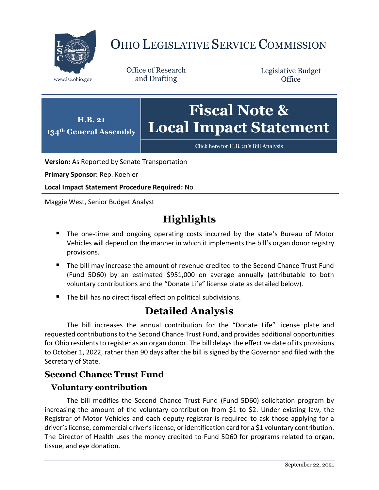

# OHIO LEGISLATIVE SERVICE COMMISSION

Office of Research www.lsc.ohio.gov and Drafting

Legislative Budget **Office** 



[Click here for H.B. 21](https://www.legislature.ohio.gov/legislation/legislation-documents?id=GA134-HB-21)'s Bill Analysis

**Version:** As Reported by Senate Transportation

**Primary Sponsor:** Rep. Koehler

**Local Impact Statement Procedure Required:** No

Maggie West, Senior Budget Analyst

## **Highlights**

- **The one-time and ongoing operating costs incurred by the state's Bureau of Motor** Vehicles will depend on the manner in which it implements the bill's organ donor registry provisions.
- The bill may increase the amount of revenue credited to the Second Chance Trust Fund (Fund 5D60) by an estimated \$951,000 on average annually (attributable to both voluntary contributions and the "Donate Life" license plate as detailed below).
- The bill has no direct fiscal effect on political subdivisions.

### **Detailed Analysis**

The bill increases the annual contribution for the "Donate Life" license plate and requested contributions to the Second Chance Trust Fund, and provides additional opportunities for Ohio residents to register as an organ donor. The bill delays the effective date of its provisions to October 1, 2022, rather than 90 days after the bill is signed by the Governor and filed with the Secretary of State.

#### **Second Chance Trust Fund**

#### **Voluntary contribution**

The bill modifies the Second Chance Trust Fund (Fund 5D60) solicitation program by increasing the amount of the voluntary contribution from \$1 to \$2. Under existing law, the Registrar of Motor Vehicles and each deputy registrar is required to ask those applying for a driver's license, commercial driver's license, or identification card for a \$1 voluntary contribution. The Director of Health uses the money credited to Fund 5D60 for programs related to organ, tissue, and eye donation.